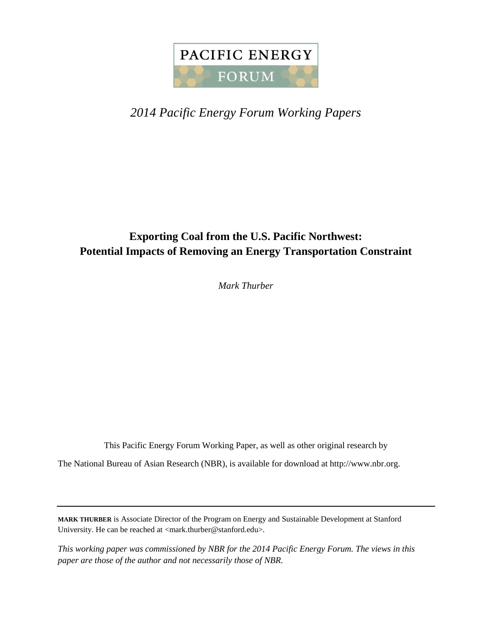

*2014 Pacific Energy Forum Working Papers*

# **Exporting Coal from the U.S. Pacific Northwest: Potential Impacts of Removing an Energy Transportation Constraint**

*Mark Thurber*

This Pacific Energy Forum Working Paper, as well as other original research by

The National Bureau of Asian Research (NBR), is available for download at http://www.nbr.org.

**MARK THURBER** is Associate Director of the Program on Energy and Sustainable Development at Stanford University. He can be reached at <mark.thurber@stanford.edu>.

*This working paper was commissioned by NBR for the 2014 Pacific Energy Forum. The views in this paper are those of the author and not necessarily those of NBR.*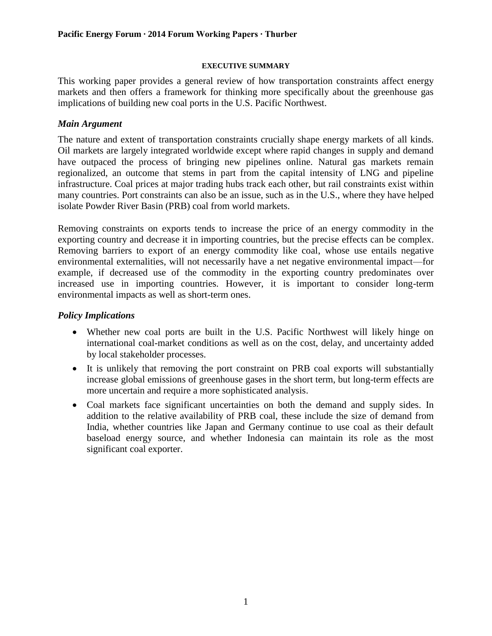# **EXECUTIVE SUMMARY**

This working paper provides a general review of how transportation constraints affect energy markets and then offers a framework for thinking more specifically about the greenhouse gas implications of building new coal ports in the U.S. Pacific Northwest.

# *Main Argument*

The nature and extent of transportation constraints crucially shape energy markets of all kinds. Oil markets are largely integrated worldwide except where rapid changes in supply and demand have outpaced the process of bringing new pipelines online. Natural gas markets remain regionalized, an outcome that stems in part from the capital intensity of LNG and pipeline infrastructure. Coal prices at major trading hubs track each other, but rail constraints exist within many countries. Port constraints can also be an issue, such as in the U.S., where they have helped isolate Powder River Basin (PRB) coal from world markets.

Removing constraints on exports tends to increase the price of an energy commodity in the exporting country and decrease it in importing countries, but the precise effects can be complex. Removing barriers to export of an energy commodity like coal, whose use entails negative environmental externalities, will not necessarily have a net negative environmental impact—for example, if decreased use of the commodity in the exporting country predominates over increased use in importing countries. However, it is important to consider long-term environmental impacts as well as short-term ones.

# *Policy Implications*

- Whether new coal ports are built in the U.S. Pacific Northwest will likely hinge on international coal-market conditions as well as on the cost, delay, and uncertainty added by local stakeholder processes.
- It is unlikely that removing the port constraint on PRB coal exports will substantially increase global emissions of greenhouse gases in the short term, but long-term effects are more uncertain and require a more sophisticated analysis.
- Coal markets face significant uncertainties on both the demand and supply sides. In addition to the relative availability of PRB coal, these include the size of demand from India, whether countries like Japan and Germany continue to use coal as their default baseload energy source, and whether Indonesia can maintain its role as the most significant coal exporter.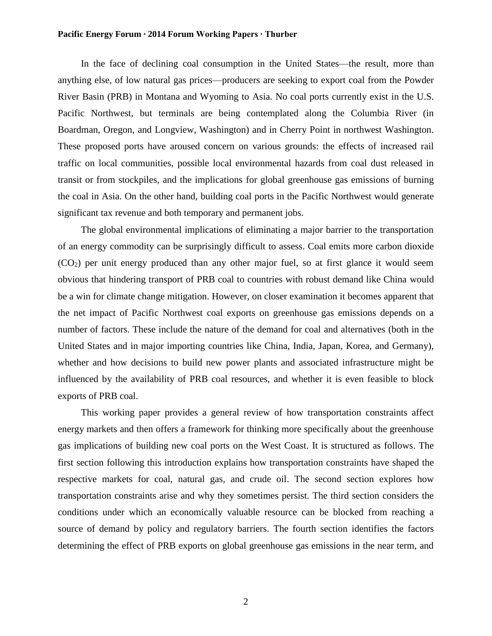In the face of declining coal consumption in the United States—the result, more than anything else, of low natural gas prices—producers are seeking to export coal from the Powder River Basin (PRB) in Montana and Wyoming to Asia. No coal ports currently exist in the U.S. Pacific Northwest, but terminals are being contemplated along the Columbia River (in Boardman, Oregon, and Longview, Washington) and in Cherry Point in northwest Washington. These proposed ports have aroused concern on various grounds: the effects of increased rail traffic on local communities, possible local environmental hazards from coal dust released in transit or from stockpiles, and the implications for global greenhouse gas emissions of burning the coal in Asia. On the other hand, building coal ports in the Pacific Northwest would generate significant tax revenue and both temporary and permanent jobs.

The global environmental implications of eliminating a major barrier to the transportation of an energy commodity can be surprisingly difficult to assess. Coal emits more carbon dioxide (CO2) per unit energy produced than any other major fuel, so at first glance it would seem obvious that hindering transport of PRB coal to countries with robust demand like China would be a win for climate change mitigation. However, on closer examination it becomes apparent that the net impact of Pacific Northwest coal exports on greenhouse gas emissions depends on a number of factors. These include the nature of the demand for coal and alternatives (both in the United States and in major importing countries like China, India, Japan, Korea, and Germany), whether and how decisions to build new power plants and associated infrastructure might be influenced by the availability of PRB coal resources, and whether it is even feasible to block exports of PRB coal.

This working paper provides a general review of how transportation constraints affect energy markets and then offers a framework for thinking more specifically about the greenhouse gas implications of building new coal ports on the West Coast. It is structured as follows. The first section following this introduction explains how transportation constraints have shaped the respective markets for coal, natural gas, and crude oil. The second section explores how transportation constraints arise and why they sometimes persist. The third section considers the conditions under which an economically valuable resource can be blocked from reaching a source of demand by policy and regulatory barriers. The fourth section identifies the factors determining the effect of PRB exports on global greenhouse gas emissions in the near term, and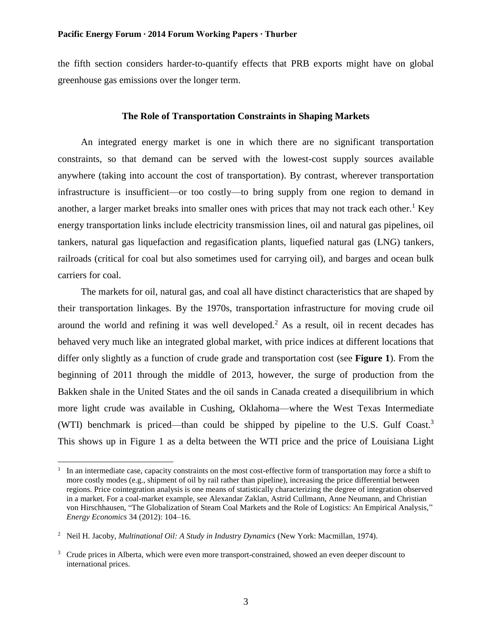the fifth section considers harder-to-quantify effects that PRB exports might have on global greenhouse gas emissions over the longer term.

#### **The Role of Transportation Constraints in Shaping Markets**

An integrated energy market is one in which there are no significant transportation constraints, so that demand can be served with the lowest-cost supply sources available anywhere (taking into account the cost of transportation). By contrast, wherever transportation infrastructure is insufficient—or too costly—to bring supply from one region to demand in another, a larger market breaks into smaller ones with prices that may not track each other.<sup>1</sup> Key energy transportation links include electricity transmission lines, oil and natural gas pipelines, oil tankers, natural gas liquefaction and regasification plants, liquefied natural gas (LNG) tankers, railroads (critical for coal but also sometimes used for carrying oil), and barges and ocean bulk carriers for coal.

The markets for oil, natural gas, and coal all have distinct characteristics that are shaped by their transportation linkages. By the 1970s, transportation infrastructure for moving crude oil around the world and refining it was well developed.<sup>2</sup> As a result, oil in recent decades has behaved very much like an integrated global market, with price indices at different locations that differ only slightly as a function of crude grade and transportation cost (see **Figure 1**). From the beginning of 2011 through the middle of 2013, however, the surge of production from the Bakken shale in the United States and the oil sands in Canada created a disequilibrium in which more light crude was available in Cushing, Oklahoma—where the West Texas Intermediate (WTI) benchmark is priced—than could be shipped by pipeline to the U.S. Gulf Coast.<sup>3</sup> This shows up in Figure 1 as a delta between the WTI price and the price of Louisiana Light

l

<sup>&</sup>lt;sup>1</sup> In an intermediate case, capacity constraints on the most cost-effective form of transportation may force a shift to more costly modes (e.g., shipment of oil by rail rather than pipeline), increasing the price differential between regions. Price cointegration analysis is one means of statistically characterizing the degree of integration observed in a market. For a coal-market example, see Alexandar Zaklan, Astrid Cullmann, Anne Neumann, and Christian von Hirschhausen, "The Globalization of Steam Coal Markets and the Role of Logistics: An Empirical Analysis," *Energy Economics* 34 (2012): 104–16.

<sup>2</sup> Neil H. Jacoby, *Multinational Oil: A Study in Industry Dynamics* (New York: Macmillan, 1974).

<sup>&</sup>lt;sup>3</sup> Crude prices in Alberta, which were even more transport-constrained, showed an even deeper discount to international prices.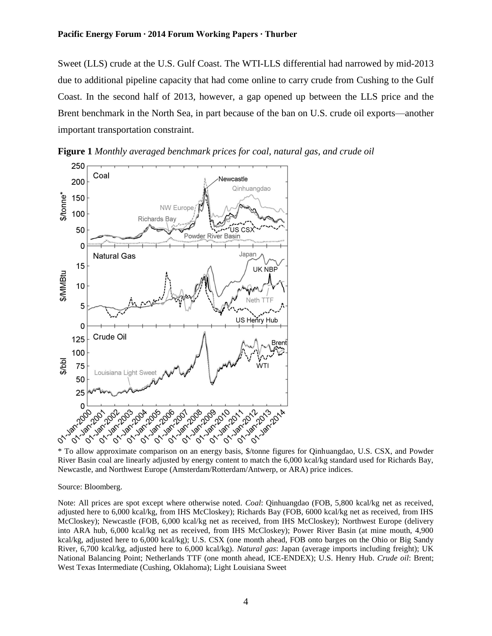Sweet (LLS) crude at the U.S. Gulf Coast. The WTI-LLS differential had narrowed by mid-2013 due to additional pipeline capacity that had come online to carry crude from Cushing to the Gulf Coast. In the second half of 2013, however, a gap opened up between the LLS price and the Brent benchmark in the North Sea, in part because of the ban on U.S. crude oil exports—another important transportation constraint.



**Figure 1** *Monthly averaged benchmark prices for coal, natural gas, and crude oil* 

River Basin coal are linearly adjusted by energy content to match the 6,000 kcal/kg standard used for Richards Bay, Newcastle, and Northwest Europe (Amsterdam/Rotterdam/Antwerp, or ARA) price indices.

Source: Bloomberg.

Note: All prices are spot except where otherwise noted. *Coal*: Qinhuangdao (FOB, 5,800 kcal/kg net as received, adjusted here to 6,000 kcal/kg, from IHS McCloskey); Richards Bay (FOB, 6000 kcal/kg net as received, from IHS McCloskey); Newcastle (FOB, 6,000 kcal/kg net as received, from IHS McCloskey); Northwest Europe (delivery into ARA hub, 6,000 kcal/kg net as received, from IHS McCloskey); Power River Basin (at mine mouth, 4,900 kcal/kg, adjusted here to 6,000 kcal/kg); U.S. CSX (one month ahead, FOB onto barges on the Ohio or Big Sandy River, 6,700 kcal/kg, adjusted here to 6,000 kcal/kg). *Natural gas*: Japan (average imports including freight); UK National Balancing Point; Netherlands TTF (one month ahead, ICE-ENDEX); U.S. Henry Hub. *Crude oil*: Brent; West Texas Intermediate (Cushing, Oklahoma); Light Louisiana Sweet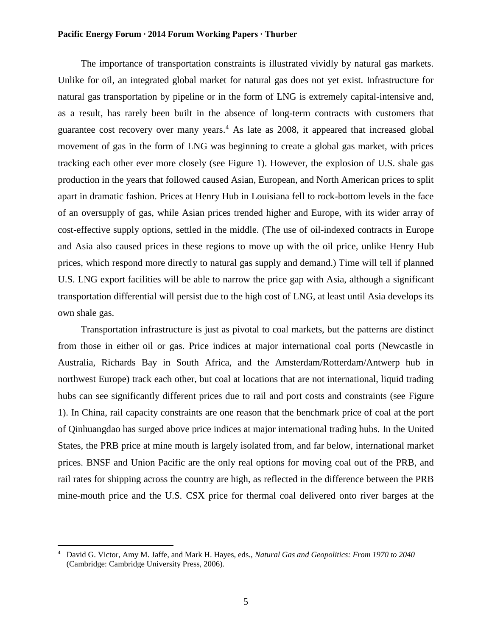The importance of transportation constraints is illustrated vividly by natural gas markets. Unlike for oil, an integrated global market for natural gas does not yet exist. Infrastructure for natural gas transportation by pipeline or in the form of LNG is extremely capital-intensive and, as a result, has rarely been built in the absence of long-term contracts with customers that guarantee cost recovery over many years.<sup>4</sup> As late as  $2008$ , it appeared that increased global movement of gas in the form of LNG was beginning to create a global gas market, with prices tracking each other ever more closely (see Figure 1). However, the explosion of U.S. shale gas production in the years that followed caused Asian, European, and North American prices to split apart in dramatic fashion. Prices at Henry Hub in Louisiana fell to rock-bottom levels in the face of an oversupply of gas, while Asian prices trended higher and Europe, with its wider array of cost-effective supply options, settled in the middle. (The use of oil-indexed contracts in Europe and Asia also caused prices in these regions to move up with the oil price, unlike Henry Hub prices, which respond more directly to natural gas supply and demand.) Time will tell if planned U.S. LNG export facilities will be able to narrow the price gap with Asia, although a significant transportation differential will persist due to the high cost of LNG, at least until Asia develops its own shale gas.

Transportation infrastructure is just as pivotal to coal markets, but the patterns are distinct from those in either oil or gas. Price indices at major international coal ports (Newcastle in Australia, Richards Bay in South Africa, and the Amsterdam/Rotterdam/Antwerp hub in northwest Europe) track each other, but coal at locations that are not international, liquid trading hubs can see significantly different prices due to rail and port costs and constraints (see Figure 1). In China, rail capacity constraints are one reason that the benchmark price of coal at the port of Qinhuangdao has surged above price indices at major international trading hubs. In the United States, the PRB price at mine mouth is largely isolated from, and far below, international market prices. BNSF and Union Pacific are the only real options for moving coal out of the PRB, and rail rates for shipping across the country are high, as reflected in the difference between the PRB mine-mouth price and the U.S. CSX price for thermal coal delivered onto river barges at the

<sup>4</sup> David G. Victor, Amy M. Jaffe, and Mark H. Hayes, eds., *Natural Gas and Geopolitics: From 1970 to 2040* (Cambridge: Cambridge University Press, 2006).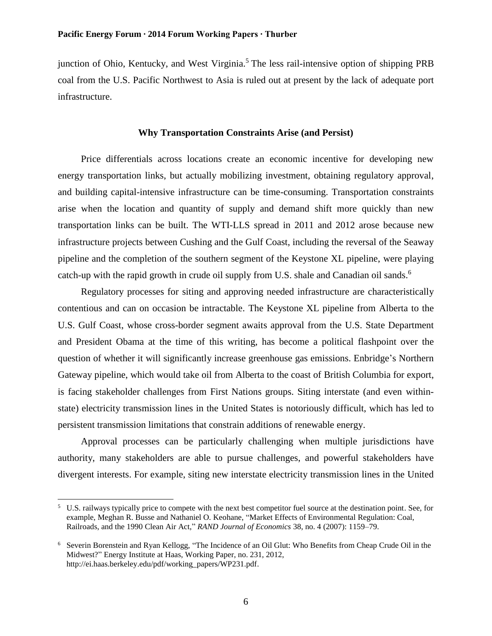junction of Ohio, Kentucky, and West Virginia. <sup>5</sup> The less rail-intensive option of shipping PRB coal from the U.S. Pacific Northwest to Asia is ruled out at present by the lack of adequate port infrastructure.

# **Why Transportation Constraints Arise (and Persist)**

Price differentials across locations create an economic incentive for developing new energy transportation links, but actually mobilizing investment, obtaining regulatory approval, and building capital-intensive infrastructure can be time-consuming. Transportation constraints arise when the location and quantity of supply and demand shift more quickly than new transportation links can be built. The WTI-LLS spread in 2011 and 2012 arose because new infrastructure projects between Cushing and the Gulf Coast, including the reversal of the Seaway pipeline and the completion of the southern segment of the Keystone XL pipeline, were playing catch-up with the rapid growth in crude oil supply from U.S. shale and Canadian oil sands.<sup>6</sup>

Regulatory processes for siting and approving needed infrastructure are characteristically contentious and can on occasion be intractable. The Keystone XL pipeline from Alberta to the U.S. Gulf Coast, whose cross-border segment awaits approval from the U.S. State Department and President Obama at the time of this writing, has become a political flashpoint over the question of whether it will significantly increase greenhouse gas emissions. Enbridge's Northern Gateway pipeline, which would take oil from Alberta to the coast of British Columbia for export, is facing stakeholder challenges from First Nations groups. Siting interstate (and even withinstate) electricity transmission lines in the United States is notoriously difficult, which has led to persistent transmission limitations that constrain additions of renewable energy.

Approval processes can be particularly challenging when multiple jurisdictions have authority, many stakeholders are able to pursue challenges, and powerful stakeholders have divergent interests. For example, siting new interstate electricity transmission lines in the United

l

<sup>5</sup> U.S. railways typically price to compete with the next best competitor fuel source at the destination point. See, for example, Meghan R. Busse and Nathaniel O. Keohane, "Market Effects of Environmental Regulation: Coal, Railroads, and the 1990 Clean Air Act," *RAND Journal of Economics* 38, no. 4 (2007): 1159–79.

<sup>6</sup> Severin Borenstein and Ryan Kellogg, "The Incidence of an Oil Glut: Who Benefits from Cheap Crude Oil in the Midwest?" Energy Institute at Haas, Working Paper, no. 231, 2012, http://ei.haas.berkeley.edu/pdf/working\_papers/WP231.pdf.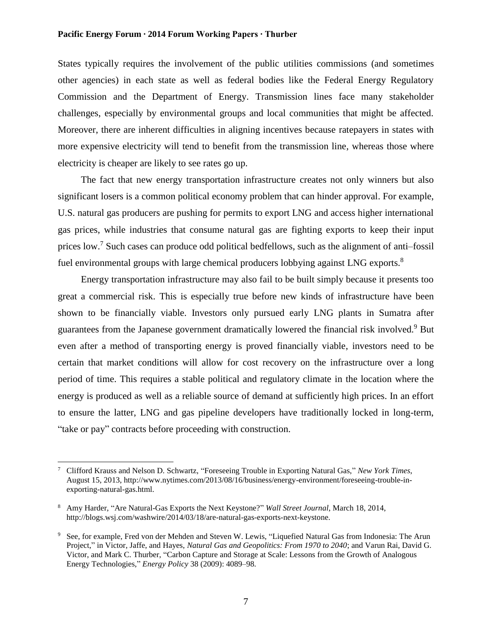States typically requires the involvement of the public utilities commissions (and sometimes other agencies) in each state as well as federal bodies like the Federal Energy Regulatory Commission and the Department of Energy. Transmission lines face many stakeholder challenges, especially by environmental groups and local communities that might be affected. Moreover, there are inherent difficulties in aligning incentives because ratepayers in states with more expensive electricity will tend to benefit from the transmission line, whereas those where electricity is cheaper are likely to see rates go up.

The fact that new energy transportation infrastructure creates not only winners but also significant losers is a common political economy problem that can hinder approval. For example, U.S. natural gas producers are pushing for permits to export LNG and access higher international gas prices, while industries that consume natural gas are fighting exports to keep their input prices low.<sup>7</sup> Such cases can produce odd political bedfellows, such as the alignment of anti-fossil fuel environmental groups with large chemical producers lobbying against LNG exports.<sup>8</sup>

Energy transportation infrastructure may also fail to be built simply because it presents too great a commercial risk. This is especially true before new kinds of infrastructure have been shown to be financially viable. Investors only pursued early LNG plants in Sumatra after guarantees from the Japanese government dramatically lowered the financial risk involved.<sup>9</sup> But even after a method of transporting energy is proved financially viable, investors need to be certain that market conditions will allow for cost recovery on the infrastructure over a long period of time. This requires a stable political and regulatory climate in the location where the energy is produced as well as a reliable source of demand at sufficiently high prices. In an effort to ensure the latter, LNG and gas pipeline developers have traditionally locked in long-term, "take or pay" contracts before proceeding with construction.

l

<sup>7</sup> Clifford Krauss and Nelson D. Schwartz, "Foreseeing Trouble in Exporting Natural Gas," *New York Times*, August 15, 2013, http://www.nytimes.com/2013/08/16/business/energy-environment/foreseeing-trouble-inexporting-natural-gas.html.

<sup>8</sup> Amy Harder, "Are Natural-Gas Exports the Next Keystone?" *Wall Street Journal*, March 18, 2014, http://blogs.wsj.com/washwire/2014/03/18/are-natural-gas-exports-next-keystone.

<sup>9</sup> See, for example, Fred von der Mehden and Steven W. Lewis, "Liquefied Natural Gas from Indonesia: The Arun Project," in Victor, Jaffe, and Hayes, *Natural Gas and Geopolitics: From 1970 to 2040*; and Varun Rai, David G. Victor, and Mark C. Thurber, "Carbon Capture and Storage at Scale: Lessons from the Growth of Analogous Energy Technologies," *Energy Policy* 38 (2009): 4089–98.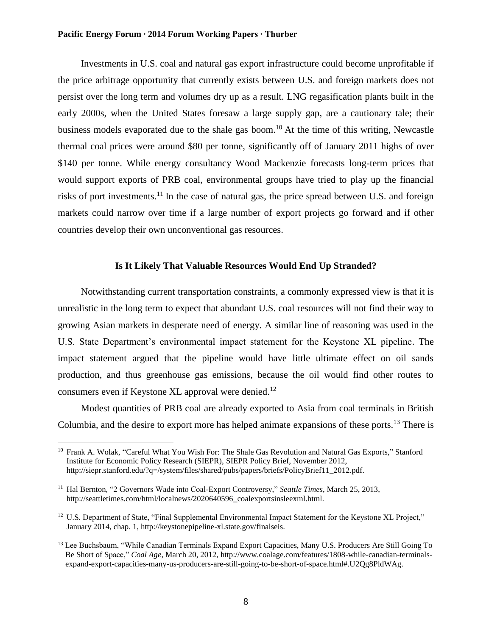Investments in U.S. coal and natural gas export infrastructure could become unprofitable if the price arbitrage opportunity that currently exists between U.S. and foreign markets does not persist over the long term and volumes dry up as a result. LNG regasification plants built in the early 2000s, when the United States foresaw a large supply gap, are a cautionary tale; their business models evaporated due to the shale gas boom.<sup>10</sup> At the time of this writing, Newcastle thermal coal prices were around \$80 per tonne, significantly off of January 2011 highs of over \$140 per tonne. While energy consultancy Wood Mackenzie forecasts long-term prices that would support exports of PRB coal, environmental groups have tried to play up the financial risks of port investments.<sup>11</sup> In the case of natural gas, the price spread between U.S. and foreign markets could narrow over time if a large number of export projects go forward and if other countries develop their own unconventional gas resources.

# **Is It Likely That Valuable Resources Would End Up Stranded?**

Notwithstanding current transportation constraints, a commonly expressed view is that it is unrealistic in the long term to expect that abundant U.S. coal resources will not find their way to growing Asian markets in desperate need of energy. A similar line of reasoning was used in the U.S. State Department's environmental impact statement for the Keystone XL pipeline. The impact statement argued that the pipeline would have little ultimate effect on oil sands production, and thus greenhouse gas emissions, because the oil would find other routes to consumers even if Keystone XL approval were denied.<sup>12</sup>

Modest quantities of PRB coal are already exported to Asia from coal terminals in British Columbia, and the desire to export more has helped animate expansions of these ports.<sup>13</sup> There is

<sup>10</sup> Frank A. Wolak, "Careful What You Wish For: The Shale Gas Revolution and Natural Gas Exports," Stanford Institute for Economic Policy Research (SIEPR), SIEPR Policy Brief, November 2012, http://siepr.stanford.edu/?q=/system/files/shared/pubs/papers/briefs/PolicyBrief11\_2012.pdf.

<sup>11</sup> Hal Bernton, "2 Governors Wade into Coal-Export Controversy," *Seattle Times*, March 25, 2013, http://seattletimes.com/html/localnews/2020640596\_coalexportsinsleexml.html.

<sup>&</sup>lt;sup>12</sup> U.S. Department of State, "Final Supplemental Environmental Impact Statement for the Keystone XL Project," January 2014, chap. 1, http://keystonepipeline-xl.state.gov/finalseis.

<sup>&</sup>lt;sup>13</sup> Lee Buchsbaum, "While Canadian Terminals Expand Export Capacities, Many U.S. Producers Are Still Going To Be Short of Space," *Coal Age*, March 20, 2012, http://www.coalage.com/features/1808-while-canadian-terminalsexpand-export-capacities-many-us-producers-are-still-going-to-be-short-of-space.html#.U2Qg8PldWAg.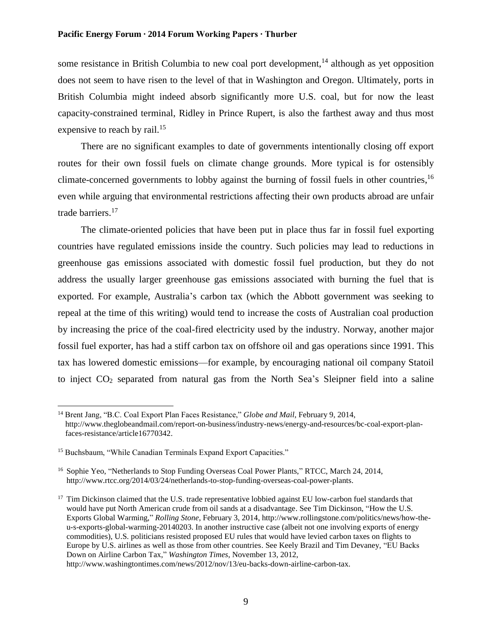some resistance in British Columbia to new coal port development,<sup>14</sup> although as yet opposition does not seem to have risen to the level of that in Washington and Oregon. Ultimately, ports in British Columbia might indeed absorb significantly more U.S. coal, but for now the least capacity-constrained terminal, Ridley in Prince Rupert, is also the farthest away and thus most expensive to reach by rail.<sup>15</sup>

There are no significant examples to date of governments intentionally closing off export routes for their own fossil fuels on climate change grounds. More typical is for ostensibly climate-concerned governments to lobby against the burning of fossil fuels in other countries, 16 even while arguing that environmental restrictions affecting their own products abroad are unfair trade barriers.<sup>17</sup>

The climate-oriented policies that have been put in place thus far in fossil fuel exporting countries have regulated emissions inside the country. Such policies may lead to reductions in greenhouse gas emissions associated with domestic fossil fuel production, but they do not address the usually larger greenhouse gas emissions associated with burning the fuel that is exported. For example, Australia's carbon tax (which the Abbott government was seeking to repeal at the time of this writing) would tend to increase the costs of Australian coal production by increasing the price of the coal-fired electricity used by the industry. Norway, another major fossil fuel exporter, has had a stiff carbon tax on offshore oil and gas operations since 1991. This tax has lowered domestic emissions—for example, by encouraging national oil company Statoil to inject CO<sub>2</sub> separated from natural gas from the North Sea's Sleipner field into a saline

 $\overline{a}$ 

http://www.washingtontimes.com/news/2012/nov/13/eu-backs-down-airline-carbon-tax.

<sup>14</sup> Brent Jang, "B.C. Coal Export Plan Faces Resistance," *Globe and Mail*, February 9, 2014, http://www.theglobeandmail.com/report-on-business/industry-news/energy-and-resources/bc-coal-export-planfaces-resistance/article16770342.

<sup>&</sup>lt;sup>15</sup> Buchsbaum, "While Canadian Terminals Expand Export Capacities."

<sup>&</sup>lt;sup>16</sup> Sophie Yeo, "Netherlands to Stop Funding Overseas Coal Power Plants," RTCC, March 24, 2014, http://www.rtcc.org/2014/03/24/netherlands-to-stop-funding-overseas-coal-power-plants.

<sup>&</sup>lt;sup>17</sup> Tim Dickinson claimed that the U.S. trade representative lobbied against EU low-carbon fuel standards that would have put North American crude from oil sands at a disadvantage. See Tim Dickinson, "How the U.S. Exports Global Warming," *Rolling Stone*, February 3, 2014, http://www.rollingstone.com/politics/news/how-theu-s-exports-global-warming-20140203. In another instructive case (albeit not one involving exports of energy commodities), U.S. politicians resisted proposed EU rules that would have levied carbon taxes on flights to Europe by U.S. airlines as well as those from other countries. See Keely Brazil and Tim Devaney, "EU Backs Down on Airline Carbon Tax," *Washington Times*, November 13, 2012,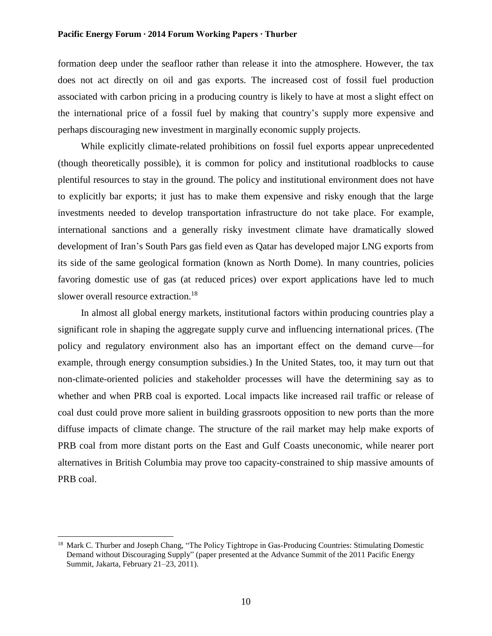formation deep under the seafloor rather than release it into the atmosphere. However, the tax does not act directly on oil and gas exports. The increased cost of fossil fuel production associated with carbon pricing in a producing country is likely to have at most a slight effect on the international price of a fossil fuel by making that country's supply more expensive and perhaps discouraging new investment in marginally economic supply projects.

While explicitly climate-related prohibitions on fossil fuel exports appear unprecedented (though theoretically possible), it is common for policy and institutional roadblocks to cause plentiful resources to stay in the ground. The policy and institutional environment does not have to explicitly bar exports; it just has to make them expensive and risky enough that the large investments needed to develop transportation infrastructure do not take place. For example, international sanctions and a generally risky investment climate have dramatically slowed development of Iran's South Pars gas field even as Qatar has developed major LNG exports from its side of the same geological formation (known as North Dome). In many countries, policies favoring domestic use of gas (at reduced prices) over export applications have led to much slower overall resource extraction.<sup>18</sup>

In almost all global energy markets, institutional factors within producing countries play a significant role in shaping the aggregate supply curve and influencing international prices. (The policy and regulatory environment also has an important effect on the demand curve—for example, through energy consumption subsidies.) In the United States, too, it may turn out that non-climate-oriented policies and stakeholder processes will have the determining say as to whether and when PRB coal is exported. Local impacts like increased rail traffic or release of coal dust could prove more salient in building grassroots opposition to new ports than the more diffuse impacts of climate change. The structure of the rail market may help make exports of PRB coal from more distant ports on the East and Gulf Coasts uneconomic, while nearer port alternatives in British Columbia may prove too capacity-constrained to ship massive amounts of PRB coal.

<sup>&</sup>lt;sup>18</sup> Mark C. Thurber and Joseph Chang, "The Policy Tightrope in Gas-Producing Countries: Stimulating Domestic Demand without Discouraging Supply" (paper presented at the Advance Summit of the 2011 Pacific Energy Summit, Jakarta, February 21–23, 2011).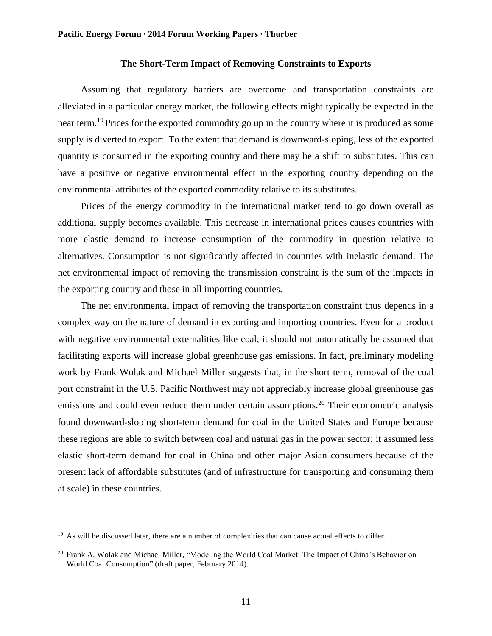## **The Short-Term Impact of Removing Constraints to Exports**

Assuming that regulatory barriers are overcome and transportation constraints are alleviated in a particular energy market, the following effects might typically be expected in the near term.<sup>19</sup> Prices for the exported commodity go up in the country where it is produced as some supply is diverted to export. To the extent that demand is downward-sloping, less of the exported quantity is consumed in the exporting country and there may be a shift to substitutes. This can have a positive or negative environmental effect in the exporting country depending on the environmental attributes of the exported commodity relative to its substitutes.

Prices of the energy commodity in the international market tend to go down overall as additional supply becomes available. This decrease in international prices causes countries with more elastic demand to increase consumption of the commodity in question relative to alternatives. Consumption is not significantly affected in countries with inelastic demand. The net environmental impact of removing the transmission constraint is the sum of the impacts in the exporting country and those in all importing countries.

The net environmental impact of removing the transportation constraint thus depends in a complex way on the nature of demand in exporting and importing countries. Even for a product with negative environmental externalities like coal, it should not automatically be assumed that facilitating exports will increase global greenhouse gas emissions. In fact, preliminary modeling work by Frank Wolak and Michael Miller suggests that, in the short term, removal of the coal port constraint in the U.S. Pacific Northwest may not appreciably increase global greenhouse gas emissions and could even reduce them under certain assumptions.<sup>20</sup> Their econometric analysis found downward-sloping short-term demand for coal in the United States and Europe because these regions are able to switch between coal and natural gas in the power sector; it assumed less elastic short-term demand for coal in China and other major Asian consumers because of the present lack of affordable substitutes (and of infrastructure for transporting and consuming them at scale) in these countries.

<sup>&</sup>lt;sup>19</sup> As will be discussed later, there are a number of complexities that can cause actual effects to differ.

<sup>&</sup>lt;sup>20</sup> Frank A. Wolak and Michael Miller, "Modeling the World Coal Market: The Impact of China's Behavior on World Coal Consumption" (draft paper, February 2014).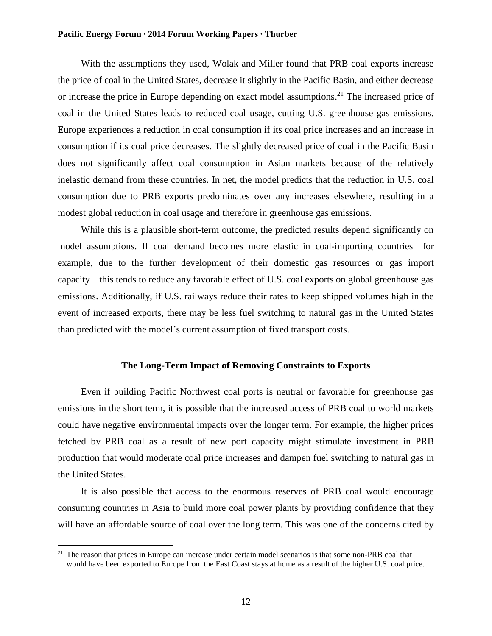With the assumptions they used, Wolak and Miller found that PRB coal exports increase the price of coal in the United States, decrease it slightly in the Pacific Basin, and either decrease or increase the price in Europe depending on exact model assumptions.<sup>21</sup> The increased price of coal in the United States leads to reduced coal usage, cutting U.S. greenhouse gas emissions. Europe experiences a reduction in coal consumption if its coal price increases and an increase in consumption if its coal price decreases. The slightly decreased price of coal in the Pacific Basin does not significantly affect coal consumption in Asian markets because of the relatively inelastic demand from these countries. In net, the model predicts that the reduction in U.S. coal consumption due to PRB exports predominates over any increases elsewhere, resulting in a modest global reduction in coal usage and therefore in greenhouse gas emissions.

While this is a plausible short-term outcome, the predicted results depend significantly on model assumptions. If coal demand becomes more elastic in coal-importing countries—for example, due to the further development of their domestic gas resources or gas import capacity—this tends to reduce any favorable effect of U.S. coal exports on global greenhouse gas emissions. Additionally, if U.S. railways reduce their rates to keep shipped volumes high in the event of increased exports, there may be less fuel switching to natural gas in the United States than predicted with the model's current assumption of fixed transport costs.

## **The Long-Term Impact of Removing Constraints to Exports**

Even if building Pacific Northwest coal ports is neutral or favorable for greenhouse gas emissions in the short term, it is possible that the increased access of PRB coal to world markets could have negative environmental impacts over the longer term. For example, the higher prices fetched by PRB coal as a result of new port capacity might stimulate investment in PRB production that would moderate coal price increases and dampen fuel switching to natural gas in the United States.

It is also possible that access to the enormous reserves of PRB coal would encourage consuming countries in Asia to build more coal power plants by providing confidence that they will have an affordable source of coal over the long term. This was one of the concerns cited by

<sup>&</sup>lt;sup>21</sup> The reason that prices in Europe can increase under certain model scenarios is that some non-PRB coal that would have been exported to Europe from the East Coast stays at home as a result of the higher U.S. coal price.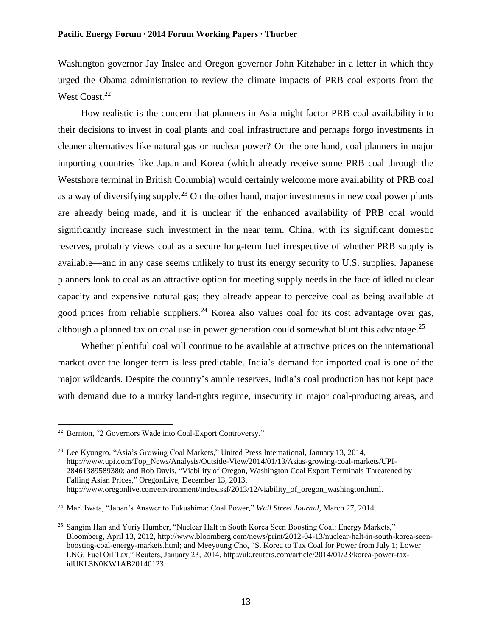Washington governor Jay Inslee and Oregon governor John Kitzhaber in a letter in which they urged the Obama administration to review the climate impacts of PRB coal exports from the West Coast.<sup>22</sup>

How realistic is the concern that planners in Asia might factor PRB coal availability into their decisions to invest in coal plants and coal infrastructure and perhaps forgo investments in cleaner alternatives like natural gas or nuclear power? On the one hand, coal planners in major importing countries like Japan and Korea (which already receive some PRB coal through the Westshore terminal in British Columbia) would certainly welcome more availability of PRB coal as a way of diversifying supply.<sup>23</sup> On the other hand, major investments in new coal power plants are already being made, and it is unclear if the enhanced availability of PRB coal would significantly increase such investment in the near term. China, with its significant domestic reserves, probably views coal as a secure long-term fuel irrespective of whether PRB supply is available—and in any case seems unlikely to trust its energy security to U.S. supplies. Japanese planners look to coal as an attractive option for meeting supply needs in the face of idled nuclear capacity and expensive natural gas; they already appear to perceive coal as being available at good prices from reliable suppliers.<sup>24</sup> Korea also values coal for its cost advantage over gas, although a planned tax on coal use in power generation could somewhat blunt this advantage.<sup>25</sup>

Whether plentiful coal will continue to be available at attractive prices on the international market over the longer term is less predictable. India's demand for imported coal is one of the major wildcards. Despite the country's ample reserves, India's coal production has not kept pace with demand due to a murky land-rights regime, insecurity in major coal-producing areas, and

 $\overline{a}$ 

<sup>&</sup>lt;sup>22</sup> Bernton, "2 Governors Wade into Coal-Export Controversy."

<sup>23</sup> Lee Kyungro, "Asia's Growing Coal Markets," United Press International, January 13, 2014, http://www.upi.com/Top\_News/Analysis/Outside-View/2014/01/13/Asias-growing-coal-markets/UPI-28461389589380; and Rob Davis, "Viability of Oregon, Washington Coal Export Terminals Threatened by Falling Asian Prices," OregonLive, December 13, 2013, http://www.oregonlive.com/environment/index.ssf/2013/12/viability\_of\_oregon\_washington.html.

<sup>24</sup> Mari Iwata, "Japan's Answer to Fukushima: Coal Power," *Wall Street Journal*, March 27, 2014.

<sup>25</sup> Sangim Han and Yuriy Humber, "Nuclear Halt in South Korea Seen Boosting Coal: Energy Markets," Bloomberg, April 13, 2012, http://www.bloomberg.com/news/print/2012-04-13/nuclear-halt-in-south-korea-seenboosting-coal-energy-markets.html; and Meeyoung Cho, "S. Korea to Tax Coal for Power from July 1; Lower LNG, Fuel Oil Tax," Reuters, January 23, 2014, http://uk.reuters.com/article/2014/01/23/korea-power-taxidUKL3N0KW1AB20140123.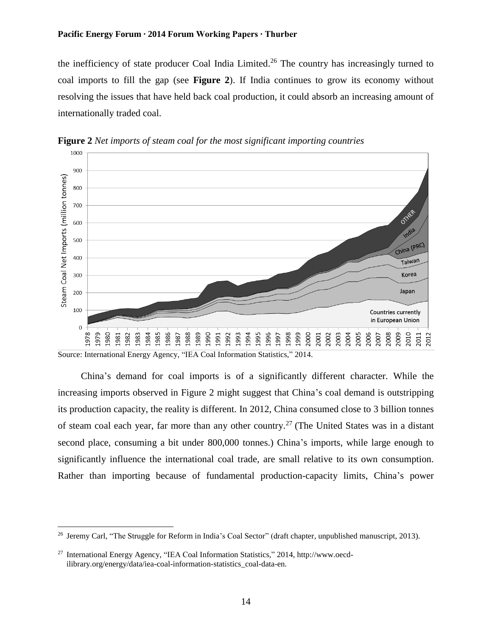the inefficiency of state producer Coal India Limited.<sup>26</sup> The country has increasingly turned to coal imports to fill the gap (see **Figure 2**). If India continues to grow its economy without resolving the issues that have held back coal production, it could absorb an increasing amount of internationally traded coal.



**Figure 2** *Net imports of steam coal for the most significant importing countries*

China's demand for coal imports is of a significantly different character. While the increasing imports observed in Figure 2 might suggest that China's coal demand is outstripping its production capacity, the reality is different. In 2012, China consumed close to 3 billion tonnes of steam coal each year, far more than any other country.<sup>27</sup> (The United States was in a distant second place, consuming a bit under 800,000 tonnes.) China's imports, while large enough to significantly influence the international coal trade, are small relative to its own consumption. Rather than importing because of fundamental production-capacity limits, China's power

<sup>&</sup>lt;sup>26</sup> Jeremy Carl, "The Struggle for Reform in India's Coal Sector" (draft chapter, unpublished manuscript, 2013).

<sup>27</sup> International Energy Agency, "IEA Coal Information Statistics," 2014, http://www.oecdilibrary.org/energy/data/iea-coal-information-statistics\_coal-data-en.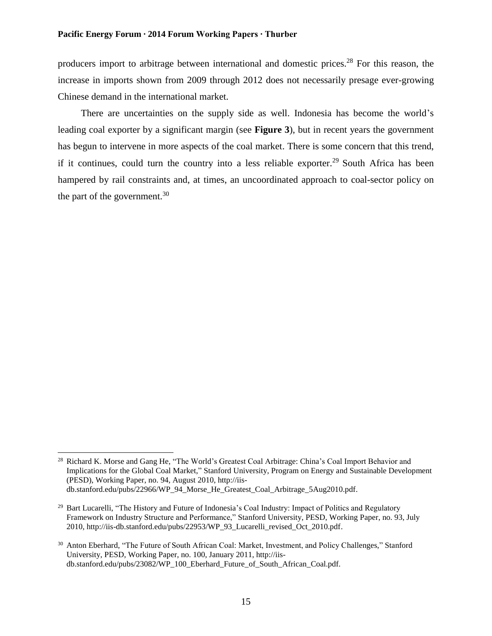producers import to arbitrage between international and domestic prices.<sup>28</sup> For this reason, the increase in imports shown from 2009 through 2012 does not necessarily presage ever-growing Chinese demand in the international market.

There are uncertainties on the supply side as well. Indonesia has become the world's leading coal exporter by a significant margin (see **Figure 3**), but in recent years the government has begun to intervene in more aspects of the coal market. There is some concern that this trend, if it continues, could turn the country into a less reliable exporter.<sup>29</sup> South Africa has been hampered by rail constraints and, at times, an uncoordinated approach to coal-sector policy on the part of the government. $30$ 

<sup>&</sup>lt;sup>28</sup> Richard K. Morse and Gang He, "The World's Greatest Coal Arbitrage: China's Coal Import Behavior and Implications for the Global Coal Market," Stanford University, Program on Energy and Sustainable Development (PESD), Working Paper, no. 94, August 2010, http://iisdb.stanford.edu/pubs/22966/WP\_94\_Morse\_He\_Greatest\_Coal\_Arbitrage\_5Aug2010.pdf.

<sup>&</sup>lt;sup>29</sup> Bart Lucarelli, "The History and Future of Indonesia's Coal Industry: Impact of Politics and Regulatory Framework on Industry Structure and Performance," Stanford University, PESD, Working Paper, no. 93, July 2010, http://iis-db.stanford.edu/pubs/22953/WP\_93\_Lucarelli\_revised\_Oct\_2010.pdf.

<sup>30</sup> Anton Eberhard, "The Future of South African Coal: Market, Investment, and Policy Challenges," Stanford University, PESD, Working Paper, no. 100, January 2011, http://iisdb.stanford.edu/pubs/23082/WP\_100\_Eberhard\_Future\_of\_South\_African\_Coal.pdf.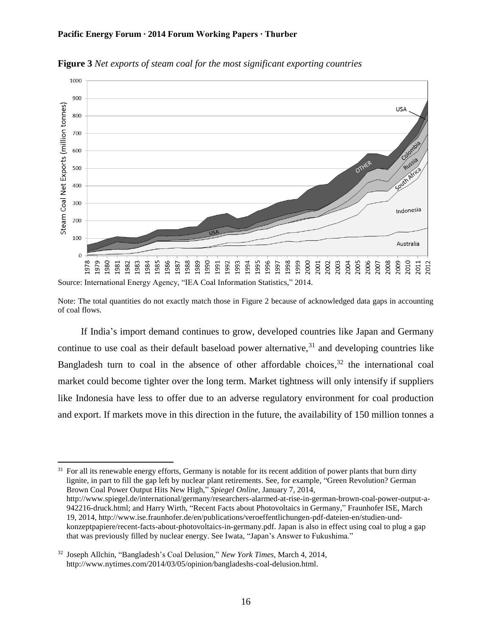

**Figure 3** *Net exports of steam coal for the most significant exporting countries*

Note: The total quantities do not exactly match those in Figure 2 because of acknowledged data gaps in accounting of coal flows.

If India's import demand continues to grow, developed countries like Japan and Germany continue to use coal as their default baseload power alternative,  $31$  and developing countries like Bangladesh turn to coal in the absence of other affordable choices,<sup>32</sup> the international coal market could become tighter over the long term. Market tightness will only intensify if suppliers like Indonesia have less to offer due to an adverse regulatory environment for coal production and export. If markets move in this direction in the future, the availability of 150 million tonnes a

 $31$  For all its renewable energy efforts, Germany is notable for its recent addition of power plants that burn dirty lignite, in part to fill the gap left by nuclear plant retirements. See, for example, "Green Revolution? German Brown Coal Power Output Hits New High," *Spiegel Online*, January 7, 2014, http://www.spiegel.de/international/germany/researchers-alarmed-at-rise-in-german-brown-coal-power-output-a-942216-druck.html; and Harry Wirth, "Recent Facts about Photovoltaics in Germany," Fraunhofer ISE, March 19, 2014, http://www.ise.fraunhofer.de/en/publications/veroeffentlichungen-pdf-dateien-en/studien-undkonzeptpapiere/recent-facts-about-photovoltaics-in-germany.pdf. Japan is also in effect using coal to plug a gap that was previously filled by nuclear energy. See Iwata, "Japan's Answer to Fukushima."

<sup>32</sup> Joseph Allchin, "Bangladesh's Coal Delusion," *New York Times*, March 4, 2014, http://www.nytimes.com/2014/03/05/opinion/bangladeshs-coal-delusion.html.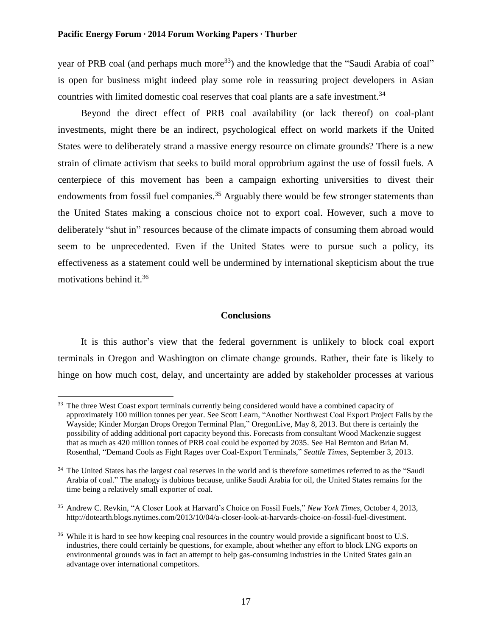l

year of PRB coal (and perhaps much more<sup>33</sup>) and the knowledge that the "Saudi Arabia of coal" is open for business might indeed play some role in reassuring project developers in Asian countries with limited domestic coal reserves that coal plants are a safe investment.<sup>34</sup>

Beyond the direct effect of PRB coal availability (or lack thereof) on coal-plant investments, might there be an indirect, psychological effect on world markets if the United States were to deliberately strand a massive energy resource on climate grounds? There is a new strain of climate activism that seeks to build moral opprobrium against the use of fossil fuels. A centerpiece of this movement has been a campaign exhorting universities to divest their endowments from fossil fuel companies.<sup>35</sup> Arguably there would be few stronger statements than the United States making a conscious choice not to export coal. However, such a move to deliberately "shut in" resources because of the climate impacts of consuming them abroad would seem to be unprecedented. Even if the United States were to pursue such a policy, its effectiveness as a statement could well be undermined by international skepticism about the true motivations behind it.<sup>36</sup>

# **Conclusions**

It is this author's view that the federal government is unlikely to block coal export terminals in Oregon and Washington on climate change grounds. Rather, their fate is likely to hinge on how much cost, delay, and uncertainty are added by stakeholder processes at various

<sup>&</sup>lt;sup>33</sup> The three West Coast export terminals currently being considered would have a combined capacity of approximately 100 million tonnes per year. See Scott Learn, "Another Northwest Coal Export Project Falls by the Wayside; Kinder Morgan Drops Oregon Terminal Plan," OregonLive, May 8, 2013. But there is certainly the possibility of adding additional port capacity beyond this. Forecasts from consultant Wood Mackenzie suggest that as much as 420 million tonnes of PRB coal could be exported by 2035. See Hal Bernton and Brian M. Rosenthal, "Demand Cools as Fight Rages over Coal-Export Terminals," *Seattle Times*, September 3, 2013.

<sup>&</sup>lt;sup>34</sup> The United States has the largest coal reserves in the world and is therefore sometimes referred to as the "Saudi Arabia of coal." The analogy is dubious because, unlike Saudi Arabia for oil, the United States remains for the time being a relatively small exporter of coal.

<sup>35</sup> Andrew C. Revkin, "A Closer Look at Harvard's Choice on Fossil Fuels," *New York Times*, October 4, 2013, http://dotearth.blogs.nytimes.com/2013/10/04/a-closer-look-at-harvards-choice-on-fossil-fuel-divestment.

 $36$  While it is hard to see how keeping coal resources in the country would provide a significant boost to U.S. industries, there could certainly be questions, for example, about whether any effort to block LNG exports on environmental grounds was in fact an attempt to help gas-consuming industries in the United States gain an advantage over international competitors.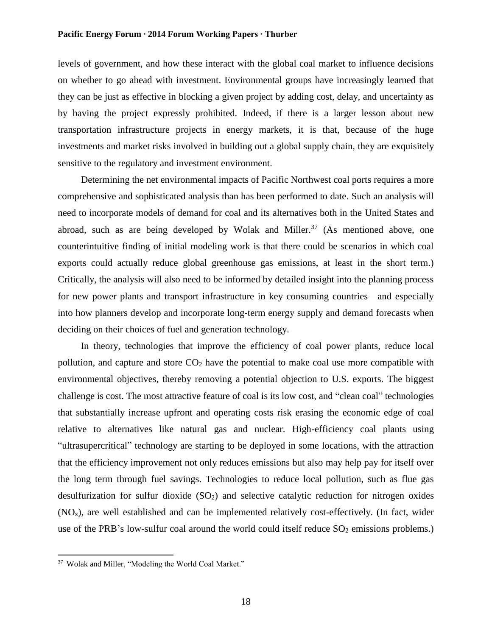levels of government, and how these interact with the global coal market to influence decisions on whether to go ahead with investment. Environmental groups have increasingly learned that they can be just as effective in blocking a given project by adding cost, delay, and uncertainty as by having the project expressly prohibited. Indeed, if there is a larger lesson about new transportation infrastructure projects in energy markets, it is that, because of the huge investments and market risks involved in building out a global supply chain, they are exquisitely sensitive to the regulatory and investment environment.

Determining the net environmental impacts of Pacific Northwest coal ports requires a more comprehensive and sophisticated analysis than has been performed to date. Such an analysis will need to incorporate models of demand for coal and its alternatives both in the United States and abroad, such as are being developed by Wolak and Miller.<sup>37</sup> (As mentioned above, one counterintuitive finding of initial modeling work is that there could be scenarios in which coal exports could actually reduce global greenhouse gas emissions, at least in the short term.) Critically, the analysis will also need to be informed by detailed insight into the planning process for new power plants and transport infrastructure in key consuming countries—and especially into how planners develop and incorporate long-term energy supply and demand forecasts when deciding on their choices of fuel and generation technology.

In theory, technologies that improve the efficiency of coal power plants, reduce local pollution, and capture and store  $CO<sub>2</sub>$  have the potential to make coal use more compatible with environmental objectives, thereby removing a potential objection to U.S. exports. The biggest challenge is cost. The most attractive feature of coal is its low cost, and "clean coal" technologies that substantially increase upfront and operating costs risk erasing the economic edge of coal relative to alternatives like natural gas and nuclear. High-efficiency coal plants using "ultrasupercritical" technology are starting to be deployed in some locations, with the attraction that the efficiency improvement not only reduces emissions but also may help pay for itself over the long term through fuel savings. Technologies to reduce local pollution, such as flue gas desulfurization for sulfur dioxide  $(SO<sub>2</sub>)$  and selective catalytic reduction for nitrogen oxides (NOx), are well established and can be implemented relatively cost-effectively. (In fact, wider use of the PRB's low-sulfur coal around the world could itself reduce  $SO_2$  emissions problems.)

<sup>&</sup>lt;sup>37</sup> Wolak and Miller, "Modeling the World Coal Market."